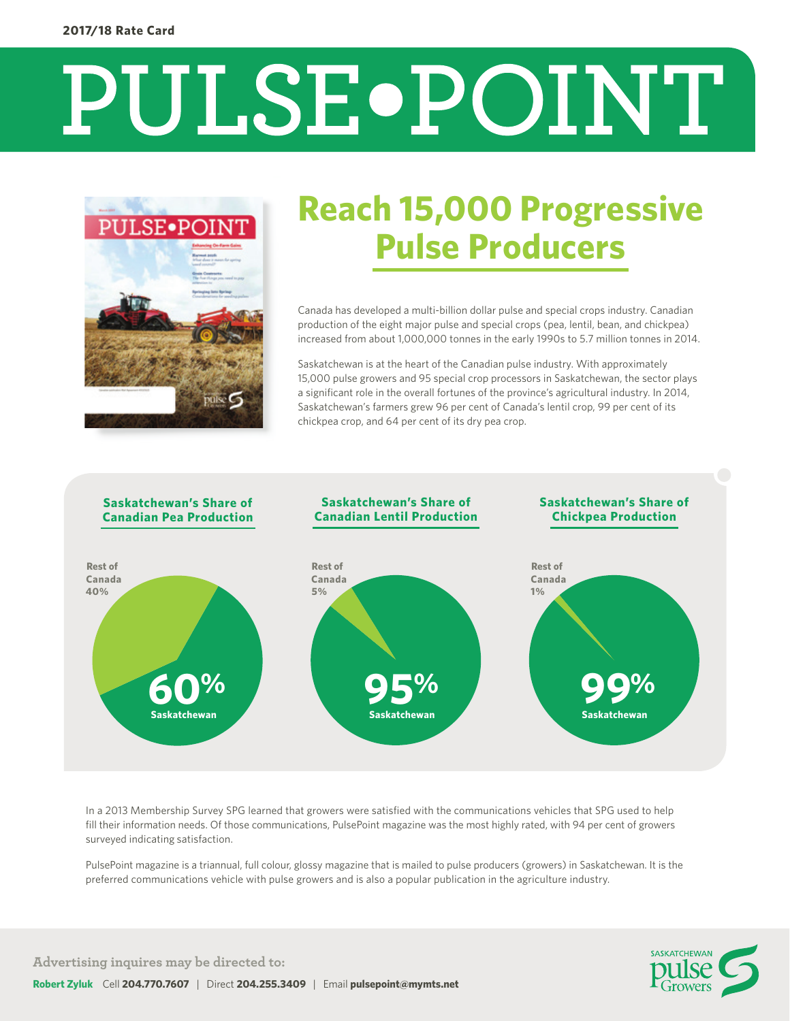# **PULSE.POINT**



## **Reach 15,000 Progressive Pulse Producers**

Canada has developed a multi-billion dollar pulse and special crops industry. Canadian production of the eight major pulse and special crops (pea, lentil, bean, and chickpea) increased from about 1,000,000 tonnes in the early 1990s to 5.7 million tonnes in 2014.

Saskatchewan is at the heart of the Canadian pulse industry. With approximately 15,000 pulse growers and 95 special crop processors in Saskatchewan, the sector plays a significant role in the overall fortunes of the province's agricultural industry. In 2014, Saskatchewan's farmers grew 96 per cent of Canada's lentil crop, 99 per cent of its chickpea crop, and 64 per cent of its dry pea crop.



In a 2013 Membership Survey SPG learned that growers were satisfied with the communications vehicles that SPG used to help fill their information needs. Of those communications, PulsePoint magazine was the most highly rated, with 94 per cent of growers surveyed indicating satisfaction.

PulsePoint magazine is a triannual, full colour, glossy magazine that is mailed to pulse producers (growers) in Saskatchewan. It is the preferred communications vehicle with pulse growers and is also a popular publication in the agriculture industry.



**Advertising inquires may be directed to:**